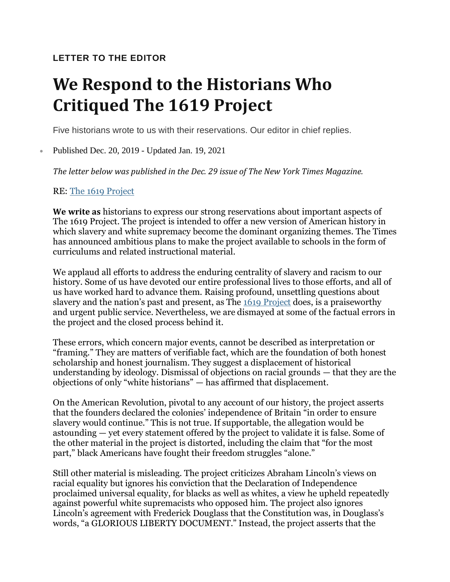## **LETTER TO THE EDITOR**

# **We Respond to the Historians Who Critiqued The 1619 Project**

Five historians wrote to us with their reservations. Our editor in chief replies.

• Published Dec. 20, 2019 - Updated Jan. 19, 2021

*The letter below was published in the Dec. 29 issue of The New York Times Magazine.*

#### RE: The 1619 [Project](https://www.nytimes.com/interactive/2019/08/14/magazine/1619-america-slavery.html)

**We write as** historians to express our strong reservations about important aspects of The 1619 Project. The project is intended to offer a new version of American history in which slavery and white supremacy become the dominant organizing themes. The Times has announced ambitious plans to make the project available to schools in the form of curriculums and related instructional material.

We applaud all efforts to address the enduring centrality of slavery and racism to our history. Some of us have devoted our entire professional lives to those efforts, and all of us have worked hard to advance them. Raising profound, unsettling questions about slavery and the nation's past and present, as The 1619 [Project](https://www.nytimes.com/2021/01/18/us/politics/1776-commission-report.html) does, is a praiseworthy and urgent public service. Nevertheless, we are dismayed at some of the factual errors in the project and the closed process behind it.

These errors, which concern major events, cannot be described as interpretation or "framing." They are matters of verifiable fact, which are the foundation of both honest scholarship and honest journalism. They suggest a displacement of historical understanding by ideology. Dismissal of objections on racial grounds — that they are the objections of only "white historians" — has affirmed that displacement.

On the American Revolution, pivotal to any account of our history, the project asserts that the founders declared the colonies' independence of Britain "in order to ensure slavery would continue." This is not true. If supportable, the allegation would be astounding — yet every statement offered by the project to validate it is false. Some of the other material in the project is distorted, including the claim that "for the most part," black Americans have fought their freedom struggles "alone."

Still other material is misleading. The project criticizes Abraham Lincoln's views on racial equality but ignores his conviction that the Declaration of Independence proclaimed universal equality, for blacks as well as whites, a view he upheld repeatedly against powerful white supremacists who opposed him. The project also ignores Lincoln's agreement with Frederick Douglass that the Constitution was, in Douglass's words, "a GLORIOUS LIBERTY DOCUMENT." Instead, the project asserts that the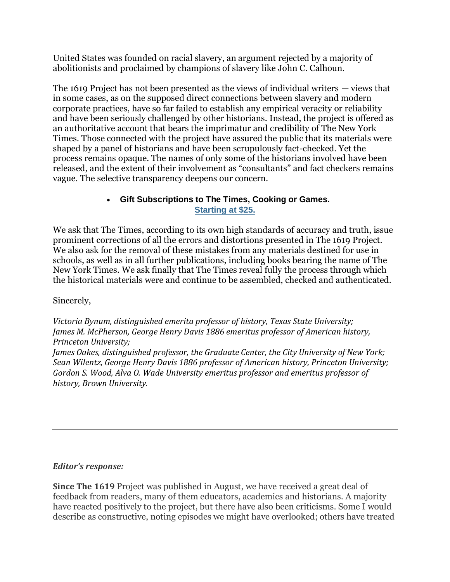United States was founded on racial slavery, an argument rejected by a majority of abolitionists and proclaimed by champions of slavery like John C. Calhoun.

The 1619 Project has not been presented as the views of individual writers — views that in some cases, as on the supposed direct connections between slavery and modern corporate practices, have so far failed to establish any empirical veracity or reliability and have been seriously challenged by other historians. Instead, the project is offered as an authoritative account that bears the imprimatur and credibility of The New York Times. Those connected with the project have assured the public that its materials were shaped by a panel of historians and have been scrupulously fact-checked. Yet the process remains opaque. The names of only some of the historians involved have been released, and the extent of their involvement as "consultants" and fact checkers remains vague. The selective transparency deepens our concern.

## • **Gift Subscriptions to The Times, Cooking or Games. [Starting](https://www.nytimes.com/subscription/gift?campaignId=9UK8F&channel=ometered&areas=inlineUnit&campaign=coregift) at \$25.**

We ask that The Times, according to its own high standards of accuracy and truth, issue prominent corrections of all the errors and distortions presented in The 1619 Project. We also ask for the removal of these mistakes from any materials destined for use in schools, as well as in all further publications, including books bearing the name of The New York Times. We ask finally that The Times reveal fully the process through which the historical materials were and continue to be assembled, checked and authenticated.

## Sincerely,

*Victoria Bynum, distinguished emerita professor of history, Texas State University; James M. McPherson, George Henry Davis 1886 emeritus professor of American history, Princeton University; James Oakes, distinguished professor, the Graduate Center, the City University of New York;*

*Sean Wilentz, George Henry Davis 1886 professor of American history, Princeton University; Gordon S. Wood, Alva O. Wade University emeritus professor and emeritus professor of history, Brown University.*

#### *Editor's response:*

**Since The 1619** Project was published in August, we have received a great deal of feedback from readers, many of them educators, academics and historians. A majority have reacted positively to the project, but there have also been criticisms. Some I would describe as constructive, noting episodes we might have overlooked; others have treated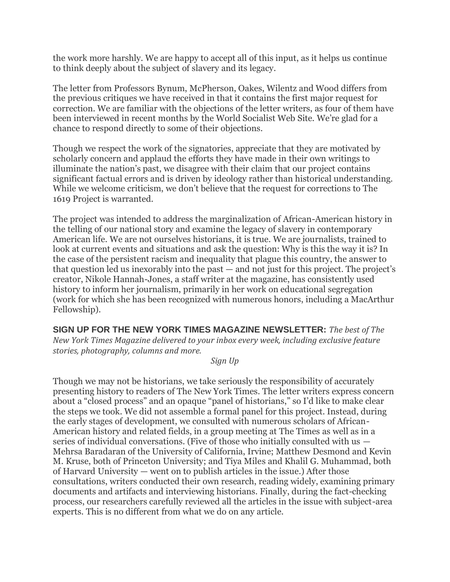the work more harshly. We are happy to accept all of this input, as it helps us continue to think deeply about the subject of slavery and its legacy.

The letter from Professors Bynum, McPherson, Oakes, Wilentz and Wood differs from the previous critiques we have received in that it contains the first major request for correction. We are familiar with the objections of the letter writers, as four of them have been interviewed in recent months by the World Socialist Web Site. We're glad for a chance to respond directly to some of their objections.

Though we respect the work of the signatories, appreciate that they are motivated by scholarly concern and applaud the efforts they have made in their own writings to illuminate the nation's past, we disagree with their claim that our project contains significant factual errors and is driven by ideology rather than historical understanding. While we welcome criticism, we don't believe that the request for corrections to The 1619 Project is warranted.

The project was intended to address the marginalization of African-American history in the telling of our national story and examine the legacy of slavery in contemporary American life. We are not ourselves historians, it is true. We are journalists, trained to look at current events and situations and ask the question: Why is this the way it is? In the case of the persistent racism and inequality that plague this country, the answer to that question led us inexorably into the past — and not just for this project. The project's creator, Nikole Hannah-Jones, a staff writer at the magazine, has consistently used history to inform her journalism, primarily in her work on educational segregation (work for which she has been recognized with numerous honors, including a MacArthur Fellowship).

**SIGN UP FOR THE NEW YORK TIMES MAGAZINE NEWSLETTER:** *The best of The New York Times Magazine delivered to your inbox every week, including exclusive feature stories, photography, columns and more.*

*Sign Up*

Though we may not be historians, we take seriously the responsibility of accurately presenting history to readers of The New York Times. The letter writers express concern about a "closed process" and an opaque "panel of historians," so I'd like to make clear the steps we took. We did not assemble a formal panel for this project. Instead, during the early stages of development, we consulted with numerous scholars of African-American history and related fields, in a group meeting at The Times as well as in a series of individual conversations. (Five of those who initially consulted with us — Mehrsa Baradaran of the University of California, Irvine; Matthew Desmond and Kevin M. Kruse, both of Princeton University; and Tiya Miles and Khalil G. Muhammad, both of Harvard University — went on to publish articles in the issue.) After those consultations, writers conducted their own research, reading widely, examining primary documents and artifacts and interviewing historians. Finally, during the fact-checking process, our researchers carefully reviewed all the articles in the issue with subject-area experts. This is no different from what we do on any article.